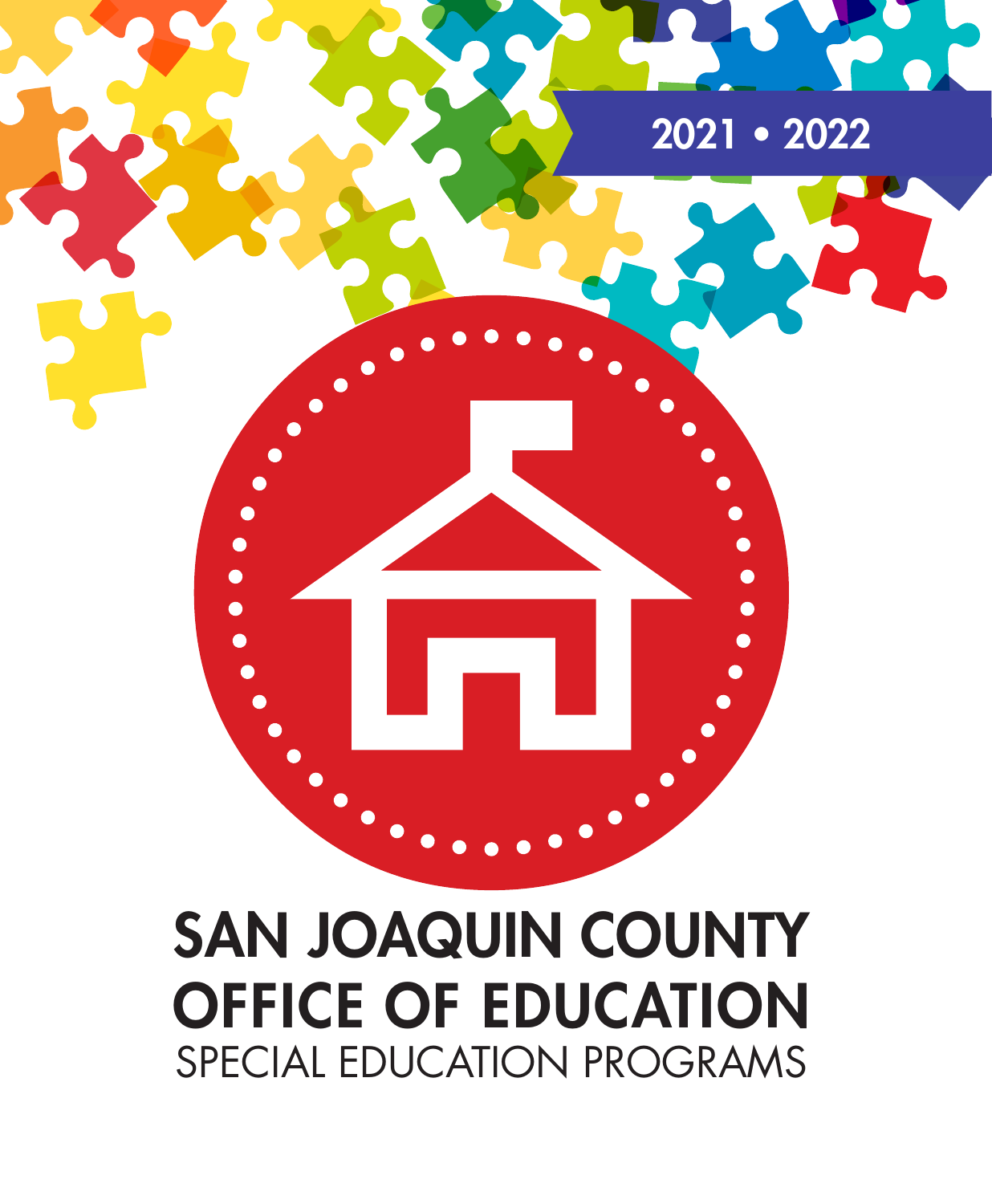

# SAN JOAQUIN COUNTY OFFICE OF EDUCATION SPECIAL EDUCATION PROGRAMS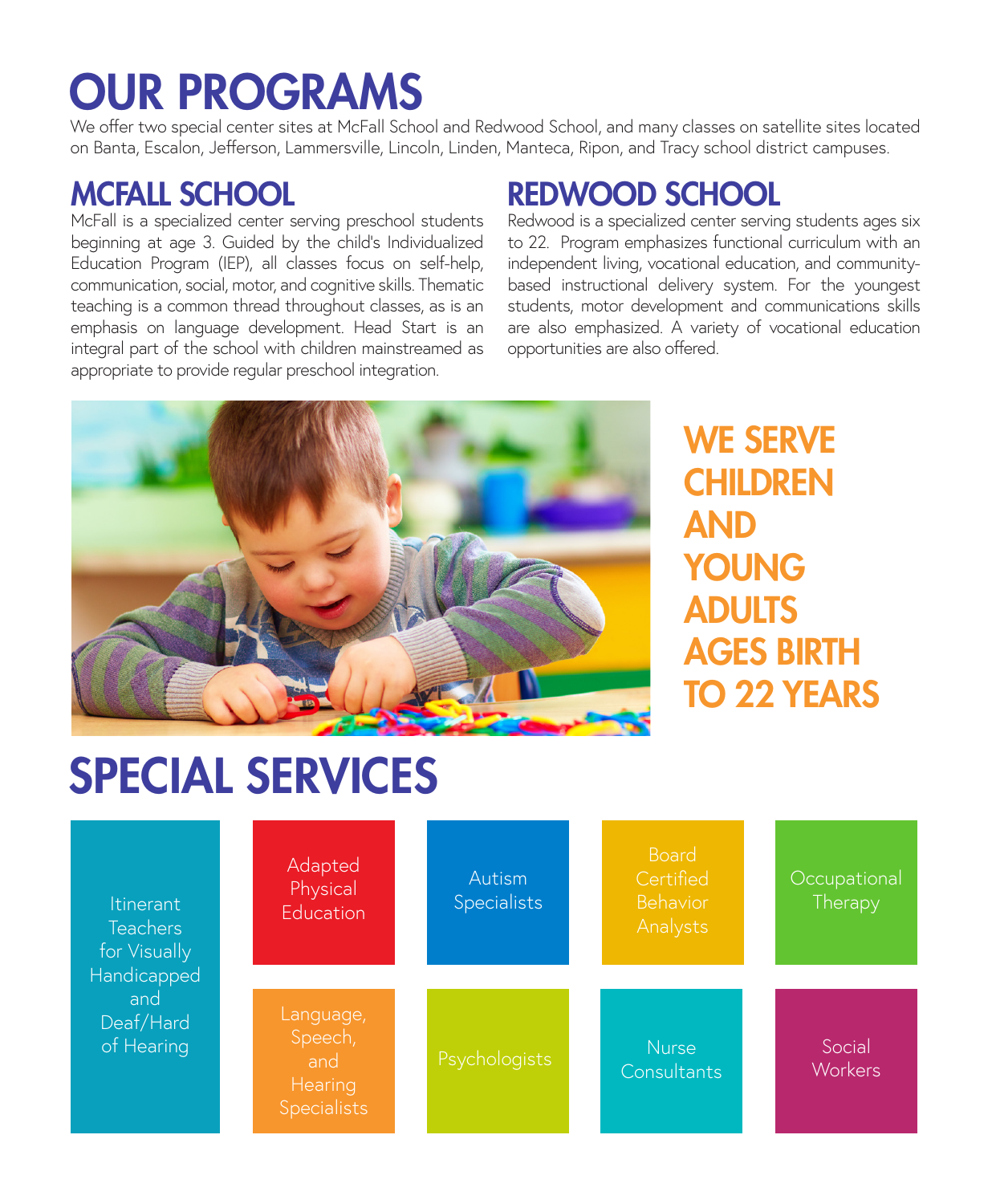# OUR PROGRAMS

We offer two special center sites at McFall School and Redwood School, and many classes on satellite sites located on Banta, Escalon, Jefferson, Lammersville, Lincoln, Linden, Manteca, Ripon, and Tracy school district campuses.

## MCFALL SCHOOL

McFall is a specialized center serving preschool students beginning at age 3. Guided by the child's Individualized Education Program (IEP), all classes focus on self-help, communication, social, motor, and cognitive skills. Thematic teaching is a common thread throughout classes, as is an emphasis on language development. Head Start is an integral part of the school with children mainstreamed as appropriate to provide regular preschool integration.

# REDWOOD SCHOOL

Redwood is a specialized center serving students ages six to 22. Program emphasizes functional curriculum with an independent living, vocational education, and communitybased instructional delivery system. For the youngest students, motor development and communications skills are also emphasized. A variety of vocational education opportunities are also offered.



WE SERVE **CHILDREN** AND YOUNG ADULTS AGES BIRTH TO 22 YEARS

# SPECIAL SERVICES

| <b>Itinerant</b><br><b>Teachers</b><br>for Visually<br>Handicapped<br>and<br>Deaf/Hard<br>of Hearing | Adapted<br>Physical<br>Education                             | Autism<br><b>Specialists</b> | <b>Board</b><br>Certified<br>Behavior<br>Analysts | Occupational<br>Therapy  |
|------------------------------------------------------------------------------------------------------|--------------------------------------------------------------|------------------------------|---------------------------------------------------|--------------------------|
|                                                                                                      | Language,<br>Speech,<br>and<br>Hearing<br><b>Specialists</b> | Psychologists                | <b>Nurse</b><br>Consultants                       | Social<br><b>Workers</b> |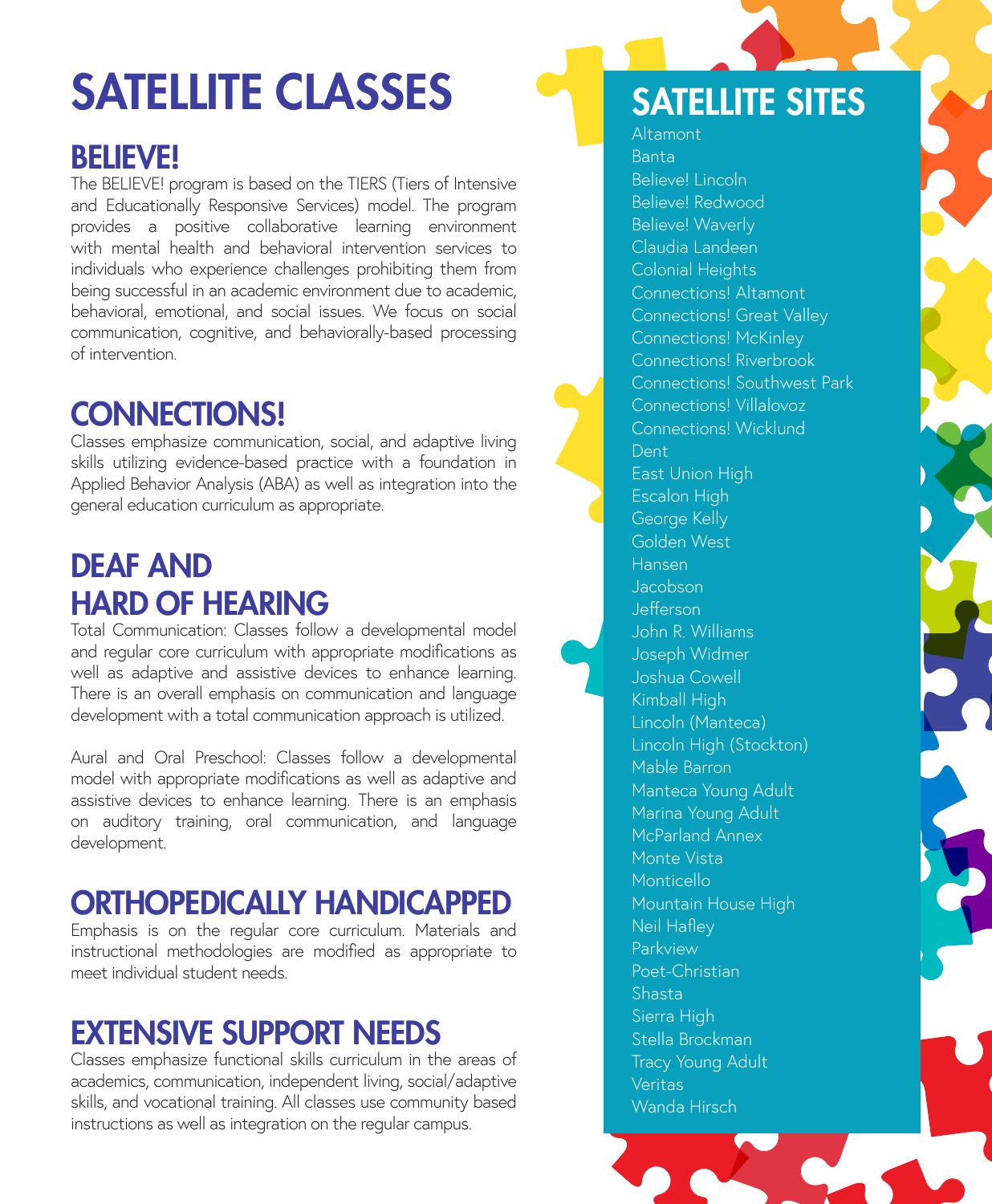# SATELLITE CLASSES

# BELIEVE!

The BELIEVE! program is based on the TIERS (Tiers of Intensive and Educationally Responsive Services) model. The program provides a positive collaborative learning environment with mental health and behavioral intervention services to individuals who experience challenges prohibiting them from being successful in an academic environment due to academic, behavioral, emotional, and social issues. We focus on social communication, cognitive, and behaviorally-based processing of intervention.

# CONNECTIONS!

Classes emphasize communication, social, and adaptive living skills utilizing evidence-based practice with a foundation in Applied Behavior Analysis (ABA) as well as integration into the general education curriculum as appropriate.

# DEAF AND HARD OF HEARING

Total Communication: Classes follow a developmental model and regular core curriculum with appropriate modifications as well as adaptive and assistive devices to enhance learning. There is an overall emphasis on communication and language development with a total communication approach is utilized.

Aural and Oral Preschool: Classes follow a developmental model with appropriate modifications as well as adaptive and assistive devices to enhance learning. There is an emphasis on auditory training, oral communication, and language development.

### ORTHOPEDICALLY HANDICAPPED

Emphasis is on the regular core curriculum. Materials and instructional methodologies are modified as appropriate to meet individual student needs.

### EXTENSIVE SUPPORT NEEDS

Classes emphasize functional skills curriculum in the areas of academics, communication, independent living, social/adaptive skills, and vocational training. All classes use community based instructions as well as integration on the regular campus.

# SATELLITE SITES

Altamont Banta Believe! Lincoln Believe! Redwood Believe! Waverly Claudia Landeen Colonial Heights Connections! Altamont Connections! Great Valley Connections! McKinley Connections! Riverbrook Connections! Southwest Park Connections! Villalovoz Connections! Wicklund Dent East Union High Escalon High George Kelly Golden West Hansen Jacobson Jefferson John R. Williams Joseph Widmer Joshua Cowell Kimball High Lincoln (Manteca) Lincoln High (Stockton) Mable Barron Manteca Young Adult Marina Young Adult McParland Annex Monte Vista Monticello Mountain House High Neil Hafley Parkview Poet-Christian Shasta Sierra High Stella Brockman Tracy Young Adult Veritas Wanda Hirsch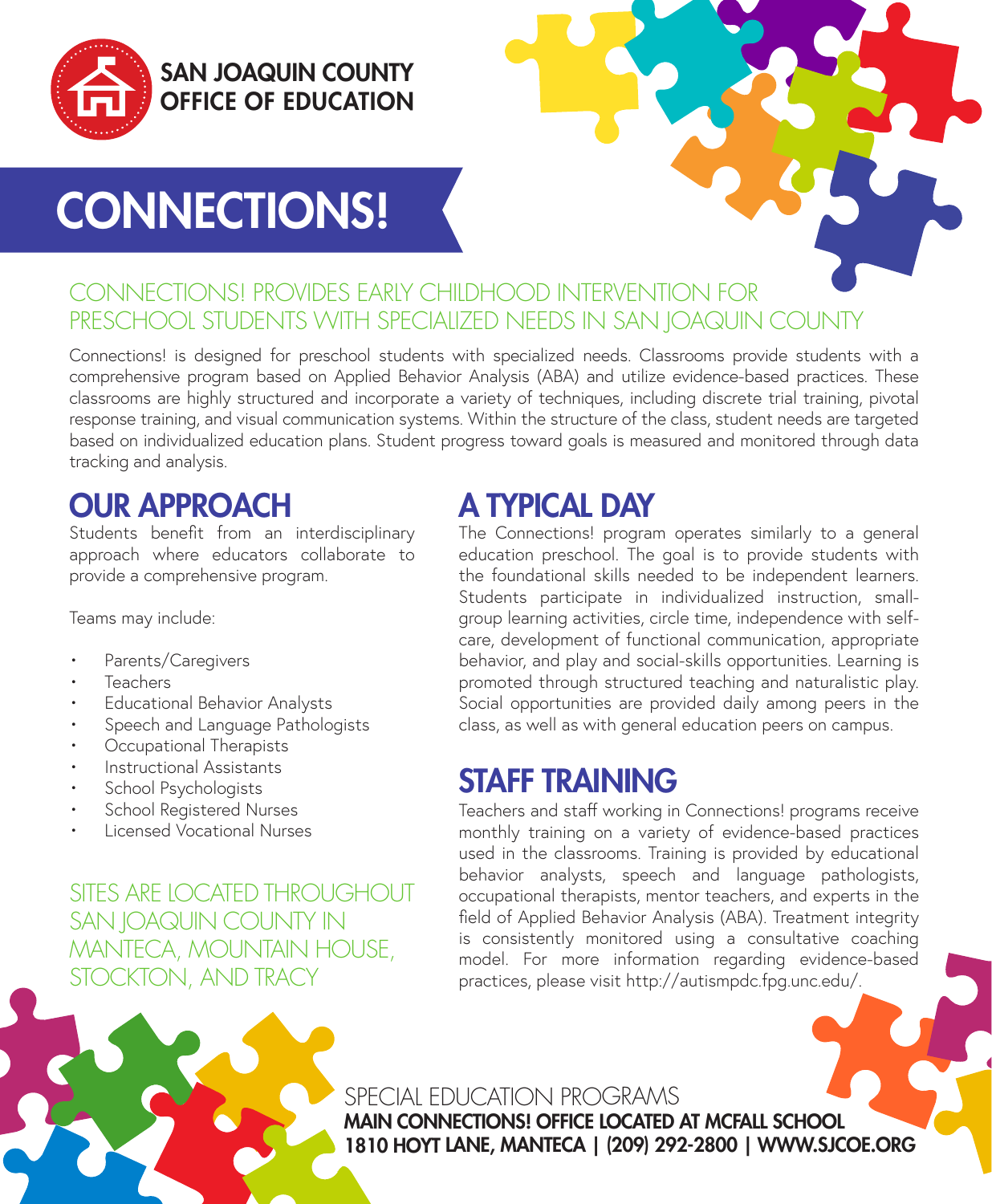

### SAN JOAQUIN COUNTY OFFICE OF EDUCATION

# CONNECTIONS!

#### CONNECTIONS! PROVIDES EARLY CHILDHOOD INTERVENTION FOR PRESCHOOL STUDENTS WITH SPECIALIZED NEEDS IN SAN JOAQUIN COUNTY

Connections! is designed for preschool students with specialized needs. Classrooms provide students with a comprehensive program based on Applied Behavior Analysis (ABA) and utilize evidence-based practices. These classrooms are highly structured and incorporate a variety of techniques, including discrete trial training, pivotal response training, and visual communication systems. Within the structure of the class, student needs are targeted based on individualized education plans. Student progress toward goals is measured and monitored through data tracking and analysis.

# OUR APPROACH

Students benefit from an interdisciplinary approach where educators collaborate to provide a comprehensive program.

Teams may include:

- Parents/Caregivers
- Teachers
- Educational Behavior Analysts
- Speech and Language Pathologists
- Occupational Therapists
- Instructional Assistants
- School Psychologists
- School Registered Nurses
- Licensed Vocational Nurses

SITES ARE LOCATED THROUGHOUT SAN JOAQUIN COUNTY IN MANTECA, MOUNTAIN HOUSE, STOCKTON, AND TRACY

# A TYPICAL DAY

The Connections! program operates similarly to a general education preschool. The goal is to provide students with the foundational skills needed to be independent learners. Students participate in individualized instruction, smallgroup learning activities, circle time, independence with selfcare, development of functional communication, appropriate behavior, and play and social-skills opportunities. Learning is promoted through structured teaching and naturalistic play. Social opportunities are provided daily among peers in the class, as well as with general education peers on campus.

### STAFF TRAINING

Teachers and staff working in Connections! programs receive monthly training on a variety of evidence-based practices used in the classrooms. Training is provided by educational behavior analysts, speech and language pathologists, occupational therapists, mentor teachers, and experts in the field of Applied Behavior Analysis (ABA). Treatment integrity is consistently monitored using a consultative coaching model. For more information regarding evidence-based practices, please visit http://autismpdc.fpg.unc.edu/.

SPECIAL EDUCATION PROGRAMS MAIN CONNECTIONS! OFFICE LOCATED AT MCFALL SCHOOL 1810 HOYT LANE, MANTECA | (209) 292-2800 | WWW.SJCOE.ORG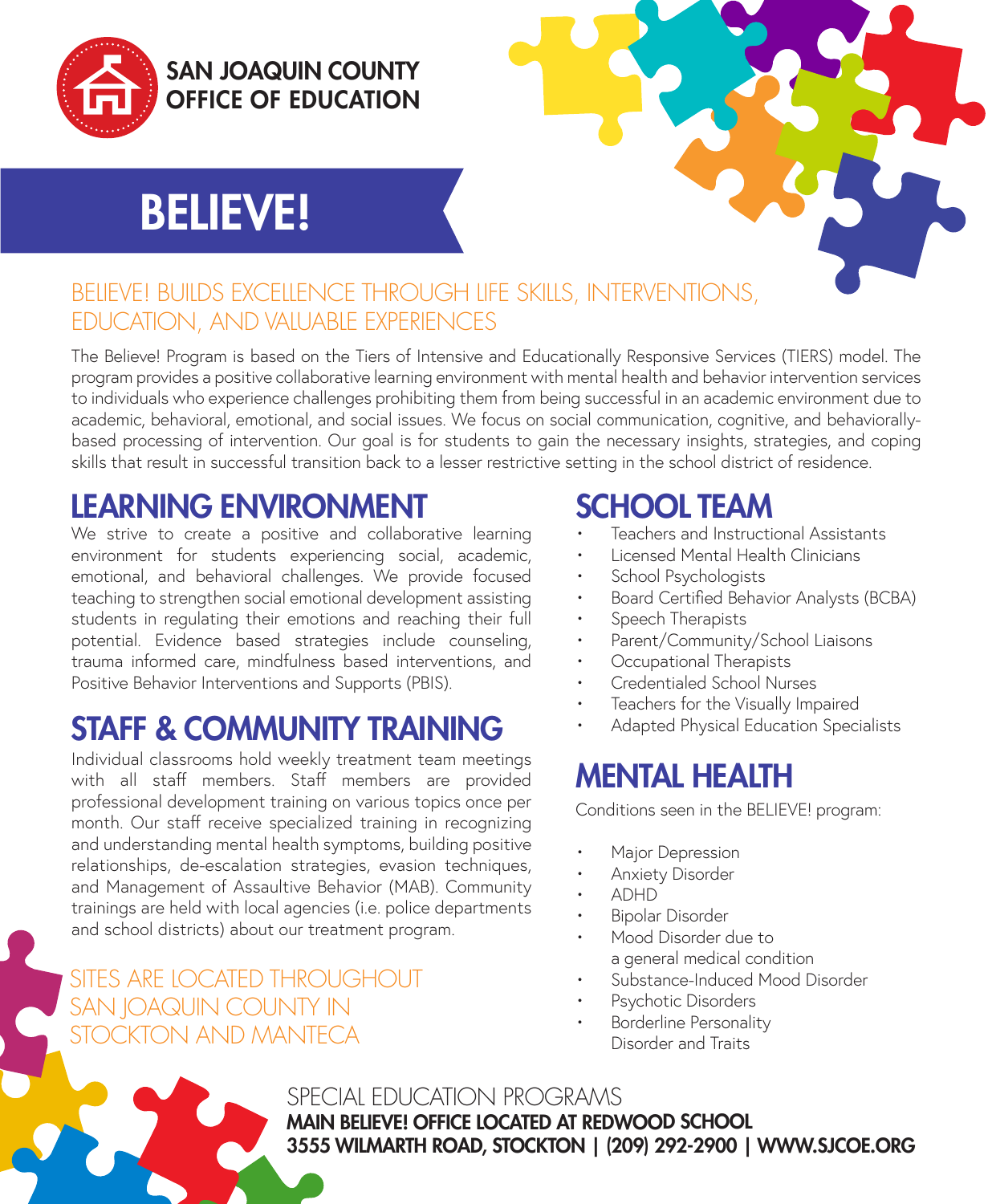

### SAN JOAQUIN COUNTY OFFICE OF EDUCATION

# BELIEVE!



#### BELIEVE! BUILDS EXCELLENCE THROUGH LIFE SKILLS, INTERVENTIONS, EDUCATION, AND VALUABLE EXPERIENCES

The Believe! Program is based on the Tiers of Intensive and Educationally Responsive Services (TIERS) model. The program provides a positive collaborative learning environment with mental health and behavior intervention services to individuals who experience challenges prohibiting them from being successful in an academic environment due to academic, behavioral, emotional, and social issues. We focus on social communication, cognitive, and behaviorallybased processing of intervention. Our goal is for students to gain the necessary insights, strategies, and coping skills that result in successful transition back to a lesser restrictive setting in the school district of residence.

# LEARNING ENVIRONMENT

We strive to create a positive and collaborative learning environment for students experiencing social, academic, emotional, and behavioral challenges. We provide focused teaching to strengthen social emotional development assisting students in regulating their emotions and reaching their full potential. Evidence based strategies include counseling, trauma informed care, mindfulness based interventions, and Positive Behavior Interventions and Supports (PBIS).

# STAFF & COMMUNITY TRAINING

Individual classrooms hold weekly treatment team meetings with all staff members. Staff members are provided professional development training on various topics once per month. Our staff receive specialized training in recognizing and understanding mental health symptoms, building positive relationships, de-escalation strategies, evasion techniques, and Management of Assaultive Behavior (MAB). Community trainings are held with local agencies (i.e. police departments and school districts) about our treatment program.

SITES ARE LOCATED THROUGHOUT SAN JOAQUIN COUNTY IN STOCKTON AND MANTECA

# SCHOOL TEAM

- Teachers and Instructional Assistants
- Licensed Mental Health Clinicians
- School Psychologists
- Board Certified Behavior Analysts (BCBA)
- Speech Therapists
- Parent/Community/School Liaisons
- Occupational Therapists
- Credentialed School Nurses
- Teachers for the Visually Impaired
- Adapted Physical Education Specialists

# MENTAL HEALTH

Conditions seen in the BELIEVE! program:

- Major Depression
- Anxiety Disorder
- ADHD
- Bipolar Disorder
- Mood Disorder due to a general medical condition
- Substance-Induced Mood Disorder
- Psychotic Disorders
- Borderline Personality Disorder and Traits

SPECIAL EDUCATION PROGRAMS MAIN BELIEVE! OFFICE LOCATED AT REDWOOD SCHOOL 3555 WILMARTH ROAD, STOCKTON | (209) 292-2900 | WWW.SJCOE.ORG